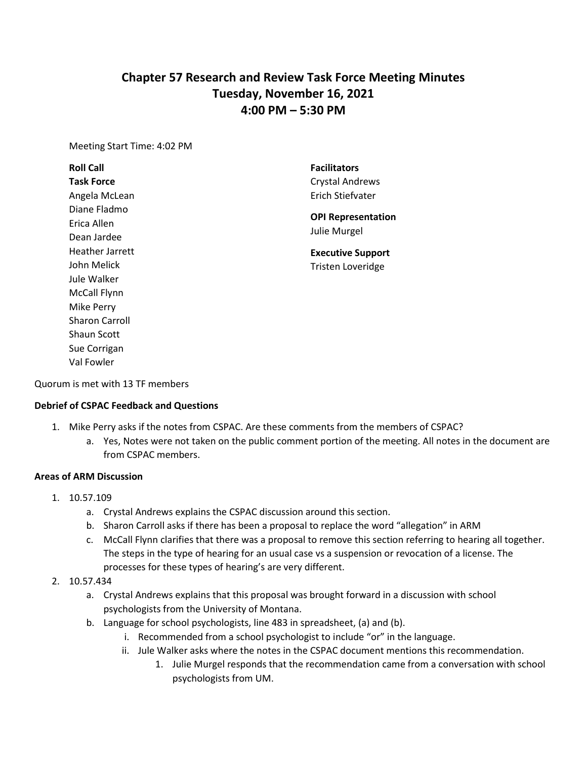# **Chapter 57 Research and Review Task Force Meeting Minutes Tuesday, November 16, 2021 4:00 PM – 5:30 PM**

Meeting Start Time: 4:02 PM

# **Roll Call Task Force** Angela McLean Diane Fladmo Erica Allen Dean Jardee Heather Jarrett John Melick Jule Walker McCall Flynn Mike Perry Sharon Carroll Shaun Scott Sue Corrigan Val Fowler

**Facilitators** Crystal Andrews Erich Stiefvater

**OPI Representation**  Julie Murgel

**Executive Support** Tristen Loveridge

Quorum is met with 13 TF members

## **Debrief of CSPAC Feedback and Questions**

- 1. Mike Perry asks if the notes from CSPAC. Are these comments from the members of CSPAC?
	- a. Yes, Notes were not taken on the public comment portion of the meeting. All notes in the document are from CSPAC members.

#### **Areas of ARM Discussion**

- 1. 10.57.109
	- a. Crystal Andrews explains the CSPAC discussion around this section.
	- b. Sharon Carroll asks if there has been a proposal to replace the word "allegation" in ARM
	- c. McCall Flynn clarifies that there was a proposal to remove this section referring to hearing all together. The steps in the type of hearing for an usual case vs a suspension or revocation of a license. The processes for these types of hearing's are very different.
- 2. 10.57.434
	- a. Crystal Andrews explains that this proposal was brought forward in a discussion with school psychologists from the University of Montana.
	- b. Language for school psychologists, line 483 in spreadsheet, (a) and (b).
		- i. Recommended from a school psychologist to include "or" in the language.
		- ii. Jule Walker asks where the notes in the CSPAC document mentions this recommendation.
			- 1. Julie Murgel responds that the recommendation came from a conversation with school psychologists from UM.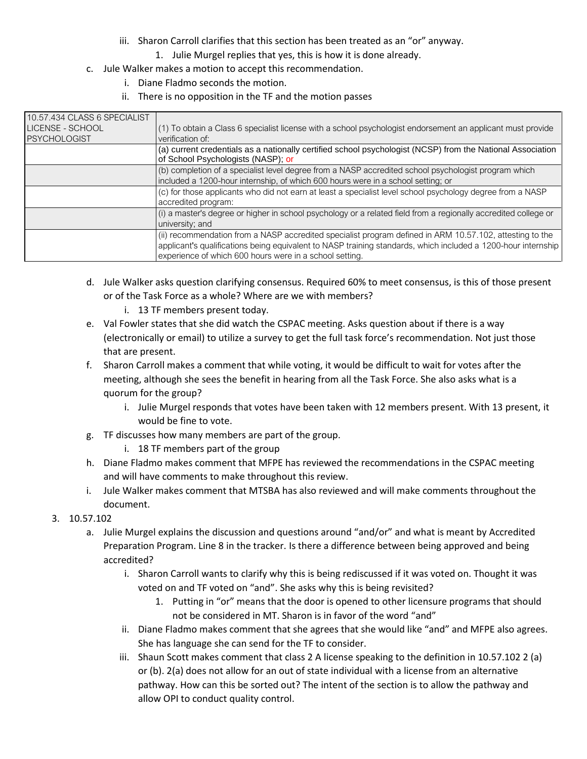- iii. Sharon Carroll clarifies that this section has been treated as an "or" anyway.
	- 1. Julie Murgel replies that yes, this is how it is done already.
- c. Jule Walker makes a motion to accept this recommendation.
	- i. Diane Fladmo seconds the motion.
	- ii. There is no opposition in the TF and the motion passes

| 10.57.434 CLASS 6 SPECIALIST |                                                                                                                                                                                                                                                                                      |
|------------------------------|--------------------------------------------------------------------------------------------------------------------------------------------------------------------------------------------------------------------------------------------------------------------------------------|
| LICENSE - SCHOOL             | $(1)$ To obtain a Class 6 specialist license with a school psychologist endorsement an applicant must provide                                                                                                                                                                        |
| <b>PSYCHOLOGIST</b>          | verification of:                                                                                                                                                                                                                                                                     |
|                              | (a) current credentials as a nationally certified school psychologist (NCSP) from the National Association<br>of School Psychologists (NASP); or                                                                                                                                     |
|                              | (b) completion of a specialist level degree from a NASP accredited school psychologist program which<br>included a 1200-hour internship, of which 600 hours were in a school setting; or                                                                                             |
|                              | (c) for those applicants who did not earn at least a specialist level school psychology degree from a NASP<br>accredited program:                                                                                                                                                    |
|                              | (i) a master's degree or higher in school psychology or a related field from a regionally accredited college or<br>university; and                                                                                                                                                   |
|                              | (ii) recommendation from a NASP accredited specialist program defined in ARM 10.57.102, attesting to the<br>applicant's qualifications being equivalent to NASP training standards, which included a 1200-hour internship<br>experience of which 600 hours were in a school setting. |

- d. Jule Walker asks question clarifying consensus. Required 60% to meet consensus, is this of those present or of the Task Force as a whole? Where are we with members?
	- i. 13 TF members present today.
- e. Val Fowler states that she did watch the CSPAC meeting. Asks question about if there is a way (electronically or email) to utilize a survey to get the full task force's recommendation. Not just those that are present.
- f. Sharon Carroll makes a comment that while voting, it would be difficult to wait for votes after the meeting, although she sees the benefit in hearing from all the Task Force. She also asks what is a quorum for the group?
	- i. Julie Murgel responds that votes have been taken with 12 members present. With 13 present, it would be fine to vote.
- g. TF discusses how many members are part of the group.
	- i. 18 TF members part of the group
- h. Diane Fladmo makes comment that MFPE has reviewed the recommendations in the CSPAC meeting and will have comments to make throughout this review.
- i. Jule Walker makes comment that MTSBA has also reviewed and will make comments throughout the document.
- 3. 10.57.102
	- a. Julie Murgel explains the discussion and questions around "and/or" and what is meant by Accredited Preparation Program. Line 8 in the tracker. Is there a difference between being approved and being accredited?
		- i. Sharon Carroll wants to clarify why this is being rediscussed if it was voted on. Thought it was voted on and TF voted on "and". She asks why this is being revisited?
			- 1. Putting in "or" means that the door is opened to other licensure programs that should not be considered in MT. Sharon is in favor of the word "and"
		- ii. Diane Fladmo makes comment that she agrees that she would like "and" and MFPE also agrees. She has language she can send for the TF to consider.
		- iii. Shaun Scott makes comment that class 2 A license speaking to the definition in 10.57.102 2 (a) or (b). 2(a) does not allow for an out of state individual with a license from an alternative pathway. How can this be sorted out? The intent of the section is to allow the pathway and allow OPI to conduct quality control.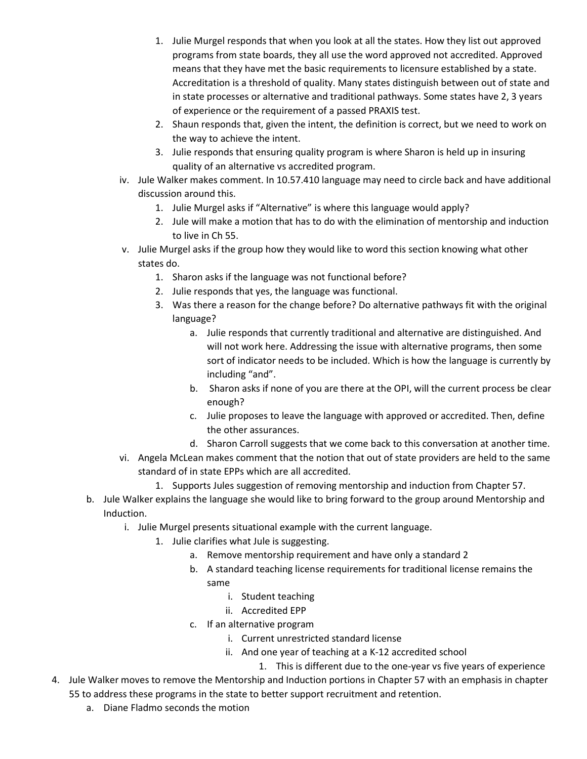- 1. Julie Murgel responds that when you look at all the states. How they list out approved programs from state boards, they all use the word approved not accredited. Approved means that they have met the basic requirements to licensure established by a state. Accreditation is a threshold of quality. Many states distinguish between out of state and in state processes or alternative and traditional pathways. Some states have 2, 3 years of experience or the requirement of a passed PRAXIS test.
- 2. Shaun responds that, given the intent, the definition is correct, but we need to work on the way to achieve the intent.
- 3. Julie responds that ensuring quality program is where Sharon is held up in insuring quality of an alternative vs accredited program.
- iv. Jule Walker makes comment. In 10.57.410 language may need to circle back and have additional discussion around this.
	- 1. Julie Murgel asks if "Alternative" is where this language would apply?
	- 2. Jule will make a motion that has to do with the elimination of mentorship and induction to live in Ch 55.
- v. Julie Murgel asks if the group how they would like to word this section knowing what other states do.
	- 1. Sharon asks if the language was not functional before?
	- 2. Julie responds that yes, the language was functional.
	- 3. Was there a reason for the change before? Do alternative pathways fit with the original language?
		- a. Julie responds that currently traditional and alternative are distinguished. And will not work here. Addressing the issue with alternative programs, then some sort of indicator needs to be included. Which is how the language is currently by including "and".
		- b. Sharon asks if none of you are there at the OPI, will the current process be clear enough?
		- c. Julie proposes to leave the language with approved or accredited. Then, define the other assurances.
		- d. Sharon Carroll suggests that we come back to this conversation at another time.
- vi. Angela McLean makes comment that the notion that out of state providers are held to the same standard of in state EPPs which are all accredited.
	- 1. Supports Jules suggestion of removing mentorship and induction from Chapter 57.
- b. Jule Walker explains the language she would like to bring forward to the group around Mentorship and Induction.
	- i. Julie Murgel presents situational example with the current language.
		- 1. Julie clarifies what Jule is suggesting.
			- a. Remove mentorship requirement and have only a standard 2
			- b. A standard teaching license requirements for traditional license remains the same
				- i. Student teaching
				- ii. Accredited EPP
			- c. If an alternative program
				- i. Current unrestricted standard license
				- ii. And one year of teaching at a K-12 accredited school
					- 1. This is different due to the one-year vs five years of experience
- 4. Jule Walker moves to remove the Mentorship and Induction portions in Chapter 57 with an emphasis in chapter 55 to address these programs in the state to better support recruitment and retention.
	- a. Diane Fladmo seconds the motion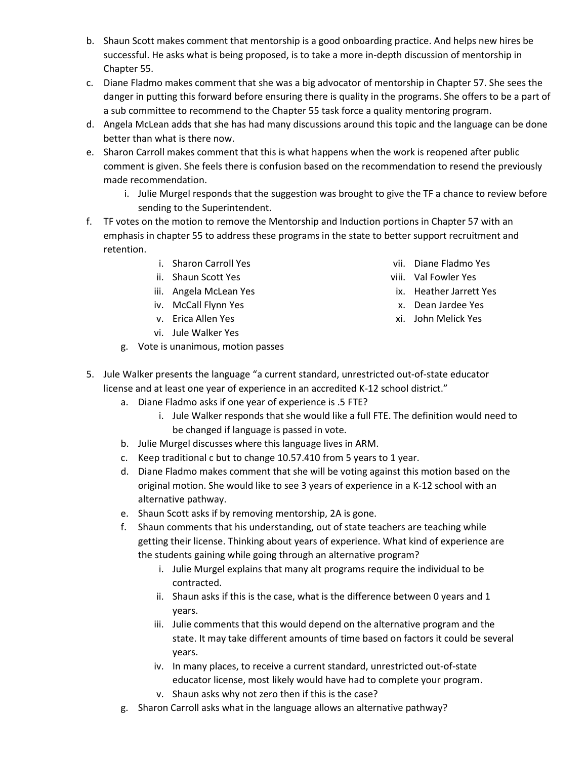- b. Shaun Scott makes comment that mentorship is a good onboarding practice. And helps new hires be successful. He asks what is being proposed, is to take a more in-depth discussion of mentorship in Chapter 55.
- c. Diane Fladmo makes comment that she was a big advocator of mentorship in Chapter 57. She sees the danger in putting this forward before ensuring there is quality in the programs. She offers to be a part of a sub committee to recommend to the Chapter 55 task force a quality mentoring program.
- d. Angela McLean adds that she has had many discussions around this topic and the language can be done better than what is there now.
- e. Sharon Carroll makes comment that this is what happens when the work is reopened after public comment is given. She feels there is confusion based on the recommendation to resend the previously made recommendation.
	- i. Julie Murgel responds that the suggestion was brought to give the TF a chance to review before sending to the Superintendent.
- f. TF votes on the motion to remove the Mentorship and Induction portions in Chapter 57 with an emphasis in chapter 55 to address these programs in the state to better support recruitment and retention.
	- i. Sharon Carroll Yes
	- ii. Shaun Scott Yes
	- iii. Angela McLean Yes
	- iv. McCall Flynn Yes
	- v. Erica Allen Yes
	- vi. Jule Walker Yes
	- g. Vote is unanimous, motion passes
- 5. Jule Walker presents the language "a current standard, unrestricted out-of-state educator license and at least one year of experience in an accredited K-12 school district."
	- a. Diane Fladmo asks if one year of experience is .5 FTE?
		- i. Jule Walker responds that she would like a full FTE. The definition would need to be changed if language is passed in vote.
	- b. Julie Murgel discusses where this language lives in ARM.
	- c. Keep traditional c but to change 10.57.410 from 5 years to 1 year.
	- d. Diane Fladmo makes comment that she will be voting against this motion based on the original motion. She would like to see 3 years of experience in a K-12 school with an alternative pathway.
	- e. Shaun Scott asks if by removing mentorship, 2A is gone.
	- f. Shaun comments that his understanding, out of state teachers are teaching while getting their license. Thinking about years of experience. What kind of experience are the students gaining while going through an alternative program?
		- i. Julie Murgel explains that many alt programs require the individual to be contracted.
		- ii. Shaun asks if this is the case, what is the difference between 0 years and 1 years.
		- iii. Julie comments that this would depend on the alternative program and the state. It may take different amounts of time based on factors it could be several years.
		- iv. In many places, to receive a current standard, unrestricted out-of-state educator license, most likely would have had to complete your program.
		- v. Shaun asks why not zero then if this is the case?
	- g. Sharon Carroll asks what in the language allows an alternative pathway?
- vii. Diane Fladmo Yes
- viii. Val Fowler Yes
- ix. Heather Jarrett Yes
- x. Dean Jardee Yes
- xi. John Melick Yes